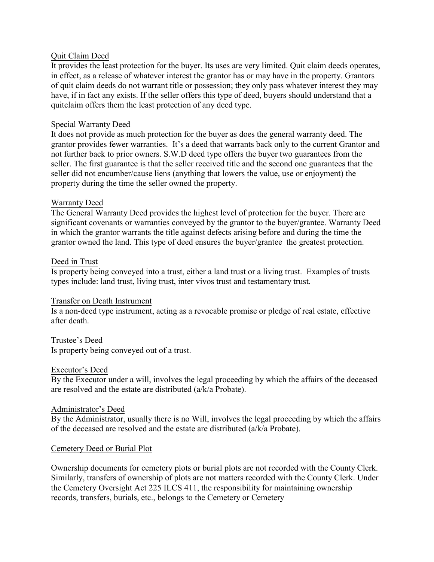## Quit Claim Deed

It provides the least protection for the buyer. Its uses are very limited. Quit claim deeds operates, in effect, as a release of whatever interest the grantor has or may have in the property. Grantors of quit claim deeds do not warrant title or possession; they only pass whatever interest they may have, if in fact any exists. If the seller offers this type of deed, buyers should understand that a quitclaim offers them the least protection of any deed type.

## Special Warranty Deed

It does not provide as much protection for the buyer as does the general warranty deed. The grantor provides fewer warranties. It's a deed that warrants back only to the current Grantor and not further back to prior owners. S.W.D deed type offers the buyer two guarantees from the seller. The first guarantee is that the seller received title and the second one guarantees that the seller did not encumber/cause liens (anything that lowers the value, use or enjoyment) the property during the time the seller owned the property.

### Warranty Deed

The General Warranty Deed provides the highest level of protection for the buyer. There are significant covenants or warranties conveyed by the grantor to the buyer/grantee. Warranty Deed in which the grantor warrants the title against defects arising before and during the time the grantor owned the land. This type of deed ensures the buyer/grantee the greatest protection.

### Deed in Trust

Is property being conveyed into a trust, either a land trust or a living trust. Examples of trusts types include: land trust, living trust, inter vivos trust and testamentary trust.

#### Transfer on Death Instrument

Is a non-deed type instrument, acting as a revocable promise or pledge of real estate, effective after death.

# Trustee's Deed

Is property being conveyed out of a trust.

#### Executor's Deed

By the Executor under a will, involves the legal proceeding by which the affairs of the deceased are resolved and the estate are distributed (a/k/a Probate).

#### Administrator's Deed

By the Administrator, usually there is no Will, involves the legal proceeding by which the affairs of the deceased are resolved and the estate are distributed (a/k/a Probate).

#### Cemetery Deed or Burial Plot

Ownership documents for cemetery plots or burial plots are not recorded with the County Clerk. Similarly, transfers of ownership of plots are not matters recorded with the County Clerk. Under the Cemetery Oversight Act 225 ILCS 411, the responsibility for maintaining ownership records, transfers, burials, etc., belongs to the Cemetery or Cemetery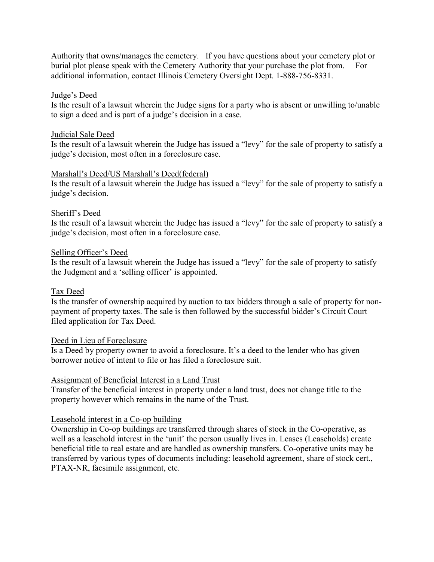Authority that owns/manages the cemetery. If you have questions about your cemetery plot or burial plot please speak with the Cemetery Authority that your purchase the plot from. For additional information, contact Illinois Cemetery Oversight Dept. 1-888-756-8331.

## Judge's Deed

Is the result of a lawsuit wherein the Judge signs for a party who is absent or unwilling to/unable to sign a deed and is part of a judge's decision in a case.

## Judicial Sale Deed

Is the result of a lawsuit wherein the Judge has issued a "levy" for the sale of property to satisfy a judge's decision, most often in a foreclosure case.

### Marshall's Deed/US Marshall's Deed(federal)

Is the result of a lawsuit wherein the Judge has issued a "levy" for the sale of property to satisfy a judge's decision.

### Sheriff's Deed

Is the result of a lawsuit wherein the Judge has issued a "levy" for the sale of property to satisfy a judge's decision, most often in a foreclosure case.

### Selling Officer's Deed

Is the result of a lawsuit wherein the Judge has issued a "levy" for the sale of property to satisfy the Judgment and a 'selling officer' is appointed.

## Tax Deed

Is the transfer of ownership acquired by auction to tax bidders through a sale of property for nonpayment of property taxes. The sale is then followed by the successful bidder's Circuit Court filed application for Tax Deed.

#### Deed in Lieu of Foreclosure

Is a Deed by property owner to avoid a foreclosure. It's a deed to the lender who has given borrower notice of intent to file or has filed a foreclosure suit.

## Assignment of Beneficial Interest in a Land Trust

Transfer of the beneficial interest in property under a land trust, does not change title to the property however which remains in the name of the Trust.

## Leasehold interest in a Co-op building

Ownership in Co-op buildings are transferred through shares of stock in the Co-operative, as well as a leasehold interest in the 'unit' the person usually lives in. Leases (Leaseholds) create beneficial title to real estate and are handled as ownership transfers. Co-operative units may be transferred by various types of documents including: leasehold agreement, share of stock cert., PTAX-NR, facsimile assignment, etc.